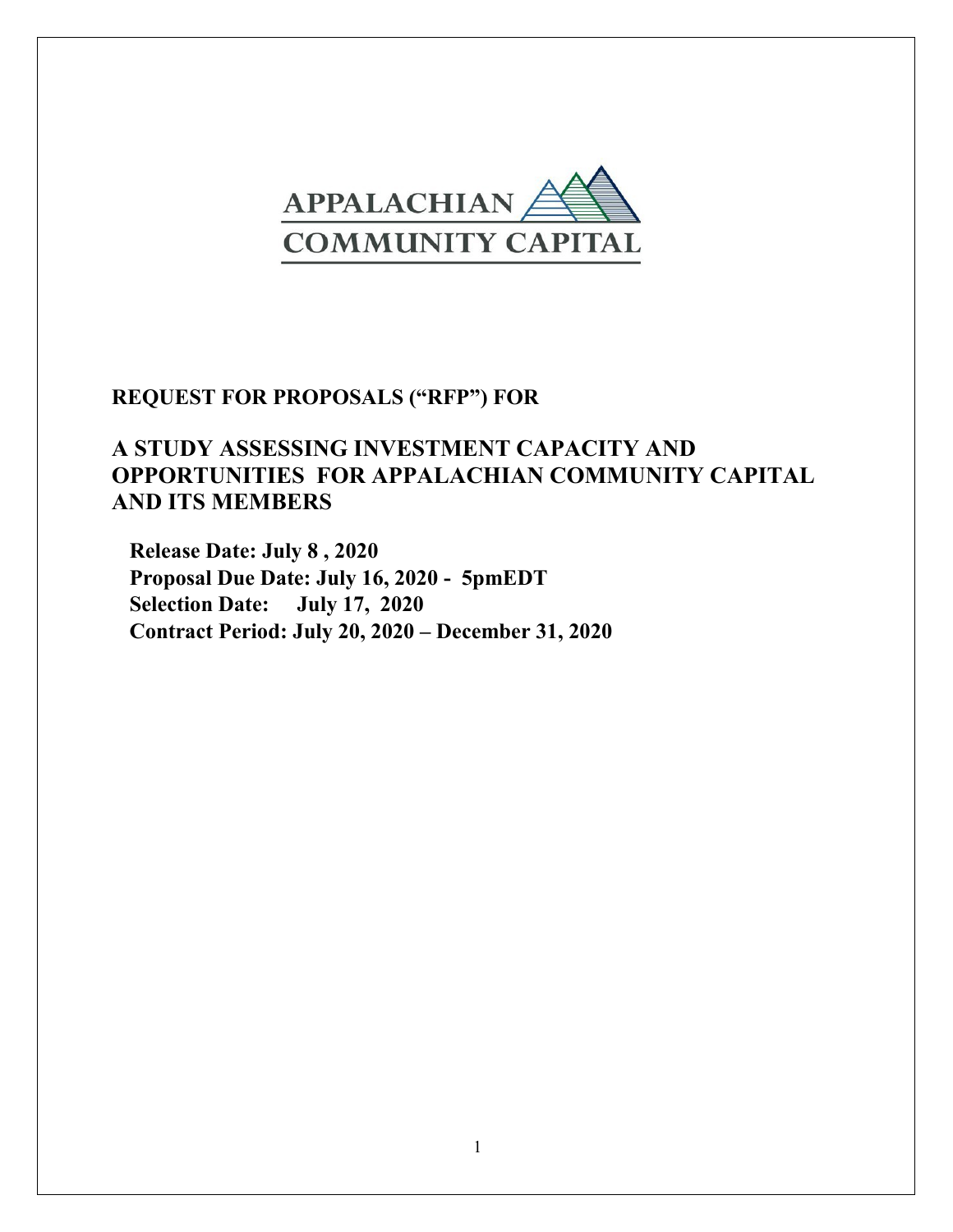

# **REQUEST FOR PROPOSALS ("RFP") FOR**

# **A STUDY ASSESSING INVESTMENT CAPACITY AND OPPORTUNITIES FOR APPALACHIAN COMMUNITY CAPITAL AND ITS MEMBERS**

**Release Date: July 8 , 2020 Proposal Due Date: July 16, 2020 - 5pmEDT Selection Date: July 17, 2020 Contract Period: July 20, 2020 – December 31, 2020**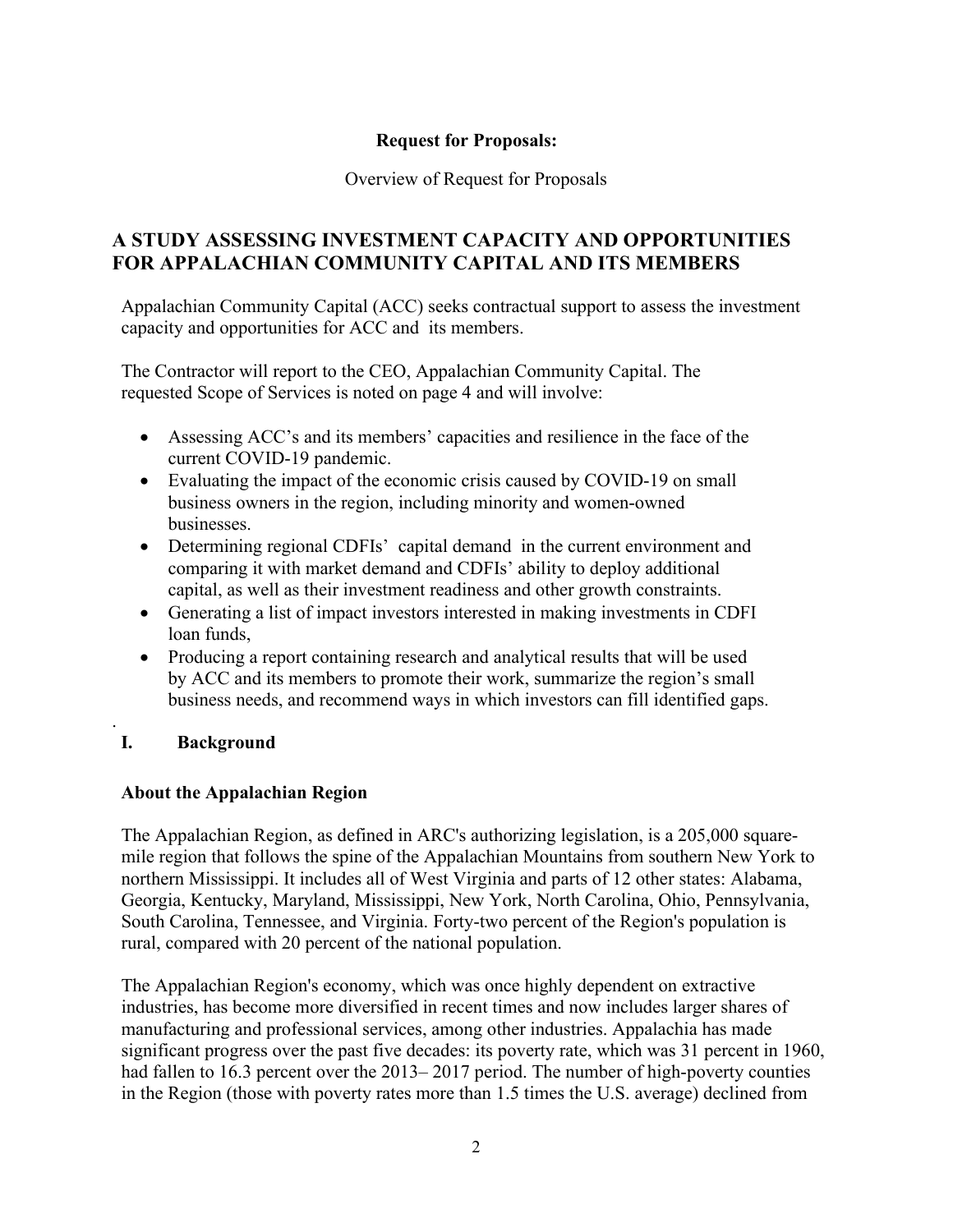#### **Request for Proposals:**

#### Overview of Request for Proposals

## **A STUDY ASSESSING INVESTMENT CAPACITY AND OPPORTUNITIES FOR APPALACHIAN COMMUNITY CAPITAL AND ITS MEMBERS**

Appalachian Community Capital (ACC) seeks contractual support to assess the investment capacity and opportunities for ACC and its members.

The Contractor will report to the CEO, Appalachian Community Capital. The requested Scope of Services is noted on page 4 and will involve:

- Assessing ACC's and its members' capacities and resilience in the face of the current COVID-19 pandemic.
- Evaluating the impact of the economic crisis caused by COVID-19 on small business owners in the region, including minority and women-owned businesses.
- Determining regional CDFIs' capital demand in the current environment and comparing it with market demand and CDFIs' ability to deploy additional capital, as well as their investment readiness and other growth constraints.
- Generating a list of impact investors interested in making investments in CDFI loan funds,
- Producing a report containing research and analytical results that will be used by ACC and its members to promote their work, summarize the region's small business needs, and recommend ways in which investors can fill identified gaps.

#### **I. Background**

.

#### **About the Appalachian Region**

The Appalachian Region, as defined in ARC's authorizing legislation, is a 205,000 squaremile region that follows the spine of the Appalachian Mountains from southern New York to northern Mississippi. It includes all of West Virginia and parts of 12 other states: Alabama, Georgia, Kentucky, Maryland, Mississippi, New York, North Carolina, Ohio, Pennsylvania, South Carolina, Tennessee, and Virginia. Forty-two percent of the Region's population is rural, compared with 20 percent of the national population.

The Appalachian Region's economy, which was once highly dependent on extractive industries, has become more diversified in recent times and now includes larger shares of manufacturing and professional services, among other industries. Appalachia has made significant progress over the past five decades: its poverty rate, which was 31 percent in 1960, had fallen to 16.3 percent over the 2013–2017 period. The number of high-poverty counties in the Region (those with poverty rates more than 1.5 times the U.S. average) declined from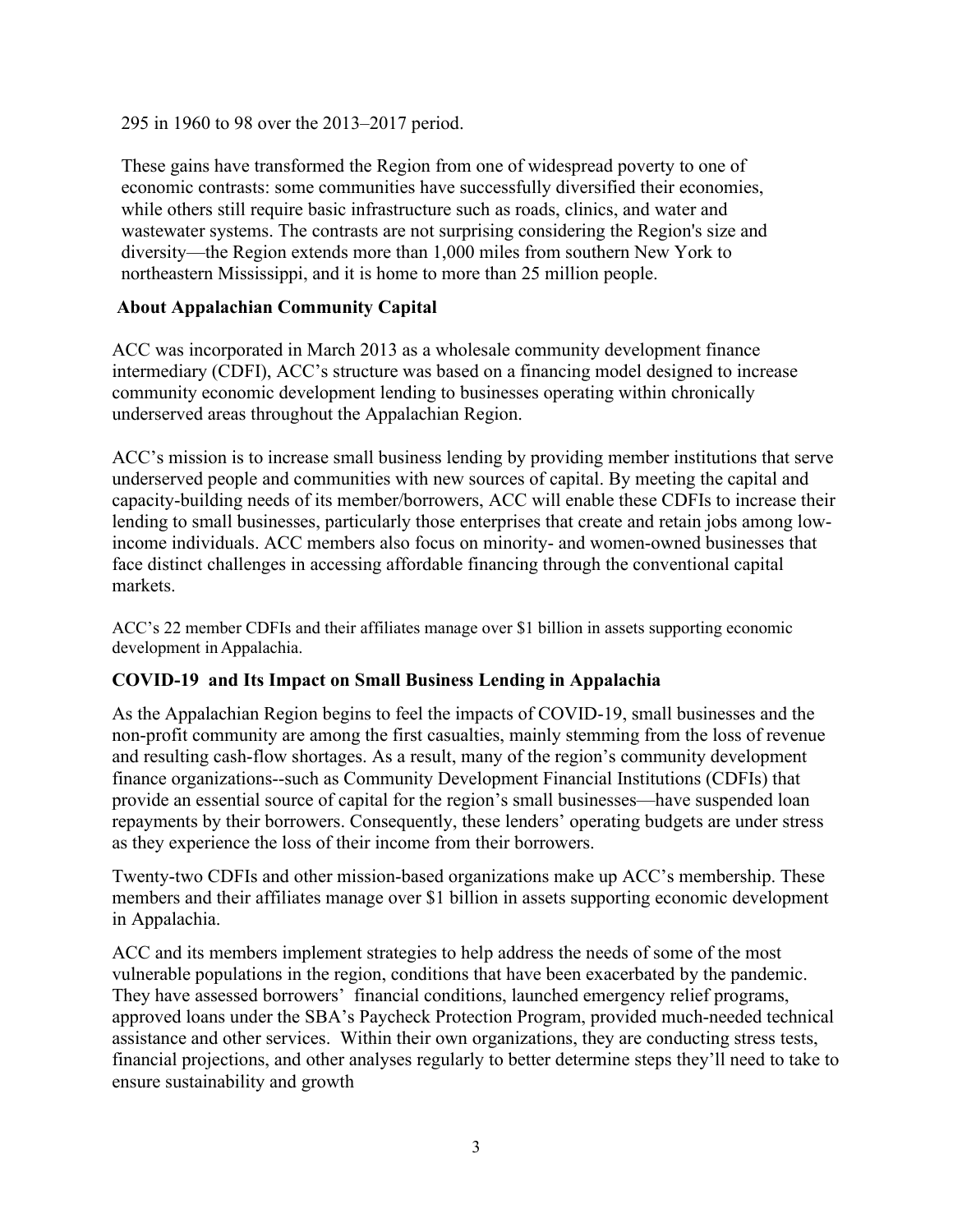295 in 1960 to 98 over the 2013–2017 period.

These gains have transformed the Region from one of widespread poverty to one of economic contrasts: some communities have successfully diversified their economies, while others still require basic infrastructure such as roads, clinics, and water and wastewater systems. The contrasts are not surprising considering the Region's size and diversity—the Region extends more than 1,000 miles from southern New York to northeastern Mississippi, and it is home to more than 25 million people.

#### **About Appalachian Community Capital**

ACC was incorporated in March 2013 as a wholesale community development finance intermediary (CDFI), ACC's structure was based on a financing model designed to increase community economic development lending to businesses operating within chronically underserved areas throughout the Appalachian Region.

ACC's mission is to increase small business lending by providing member institutions that serve underserved people and communities with new sources of capital. By meeting the capital and capacity-building needs of its member/borrowers, ACC will enable these CDFIs to increase their lending to small businesses, particularly those enterprises that create and retain jobs among lowincome individuals. ACC members also focus on minority- and women-owned businesses that face distinct challenges in accessing affordable financing through the conventional capital markets.

ACC's 22 member CDFIs and their affiliates manage over \$1 billion in assets supporting economic development inAppalachia.

#### **COVID-19 and Its Impact on Small Business Lending in Appalachia**

As the Appalachian Region begins to feel the impacts of COVID-19, small businesses and the non-profit community are among the first casualties, mainly stemming from the loss of revenue and resulting cash-flow shortages. As a result, many of the region's community development finance organizations--such as Community Development Financial Institutions (CDFIs) that provide an essential source of capital for the region's small businesses—have suspended loan repayments by their borrowers. Consequently, these lenders' operating budgets are under stress as they experience the loss of their income from their borrowers.

Twenty-two CDFIs and other mission-based organizations make up ACC's membership. These members and their affiliates manage over \$1 billion in assets supporting economic development in Appalachia.

ACC and its members implement strategies to help address the needs of some of the most vulnerable populations in the region, conditions that have been exacerbated by the pandemic. They have assessed borrowers' financial conditions, launched emergency relief programs, approved loans under the SBA's Paycheck Protection Program, provided much-needed technical assistance and other services. Within their own organizations, they are conducting stress tests, financial projections, and other analyses regularly to better determine steps they'll need to take to ensure sustainability and growth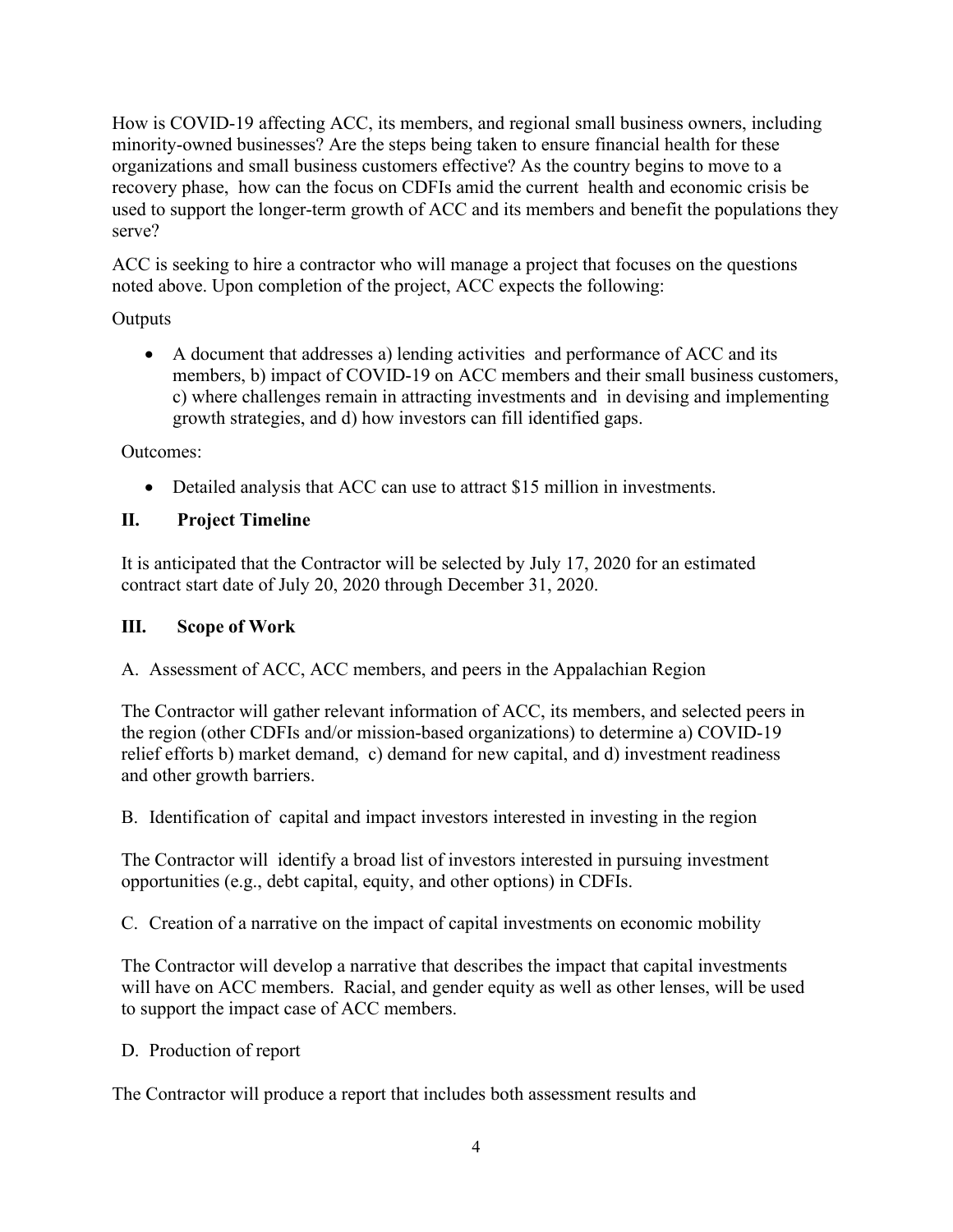How is COVID-19 affecting ACC, its members, and regional small business owners, including minority-owned businesses? Are the steps being taken to ensure financial health for these organizations and small business customers effective? As the country begins to move to a recovery phase, how can the focus on CDFIs amid the current health and economic crisis be used to support the longer-term growth of ACC and its members and benefit the populations they serve?

ACC is seeking to hire a contractor who will manage a project that focuses on the questions noted above. Upon completion of the project, ACC expects the following:

## **Outputs**

• A document that addresses a) lending activities and performance of ACC and its members, b) impact of COVID-19 on ACC members and their small business customers, c) where challenges remain in attracting investments and in devising and implementing growth strategies, and d) how investors can fill identified gaps.

Outcomes:

• Detailed analysis that ACC can use to attract \$15 million in investments.

# **II. Project Timeline**

It is anticipated that the Contractor will be selected by July 17, 2020 for an estimated contract start date of July 20, 2020 through December 31, 2020.

## **III. Scope of Work**

A. Assessment of ACC, ACC members, and peers in the Appalachian Region

The Contractor will gather relevant information of ACC, its members, and selected peers in the region (other CDFIs and/or mission-based organizations) to determine a) COVID-19 relief efforts b) market demand, c) demand for new capital, and d) investment readiness and other growth barriers.

B. Identification of capital and impact investors interested in investing in the region

The Contractor will identify a broad list of investors interested in pursuing investment opportunities (e.g., debt capital, equity, and other options) in CDFIs.

C. Creation of a narrative on the impact of capital investments on economic mobility

The Contractor will develop a narrative that describes the impact that capital investments will have on ACC members. Racial, and gender equity as well as other lenses, will be used to support the impact case of ACC members.

D. Production of report

The Contractor will produce a report that includes both assessment results and